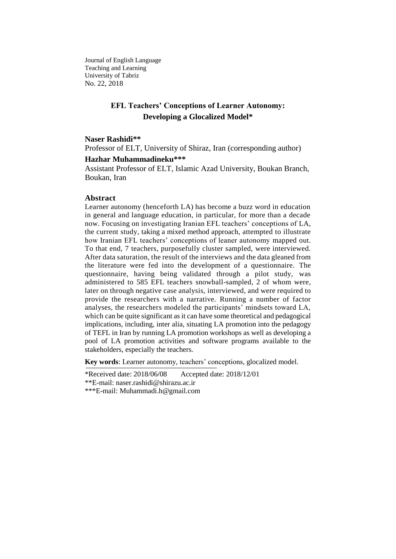Journal of English Language Teaching and Learning University of Tabriz No. 22, 2018

# **EFL Teachers' Conceptions of Learner Autonomy: Developing a Glocalized Model\***

### **Naser Rashidi\*\***

Professor of ELT, University of Shiraz, Iran (corresponding author)

### **Hazhar Muhammadineku\*\*\***

Assistant Professor of ELT, Islamic Azad University, Boukan Branch, Boukan, Iran

### **Abstract**

Learner autonomy (henceforth LA) has become a buzz word in education in general and language education, in particular, for more than a decade now. Focusing on investigating Iranian EFL teachers' conceptions of LA, the current study, taking a mixed method approach, attempted to illustrate how Iranian EFL teachers' conceptions of leaner autonomy mapped out. To that end, 7 teachers, purposefully cluster sampled, were interviewed. After data saturation, the result of the interviews and the data gleaned from the literature were fed into the development of a questionnaire. The questionnaire, having being validated through a pilot study, was administered to 585 EFL teachers snowball-sampled, 2 of whom were, later on through negative case analysis, interviewed, and were required to provide the researchers with a narrative. Running a number of factor analyses, the researchers modeled the participants' mindsets toward LA, which can be quite significant as it can have some theoretical and pedagogical implications, including, inter alia, situating LA promotion into the pedagogy of TEFL in Iran by running LA promotion workshops as well as developing a pool of LA promotion activities and software programs available to the stakeholders, especially the teachers.

**Key words**: Learner autonomy, teachers' conceptions, glocalized model.

\*Received date: 2018/06/08 Accepted date: 2018/12/01 \*\*E-mail: naser.rashidi@shirazu.ac.ir \*\*\*E-mail: Muhammadi.h@gmail.com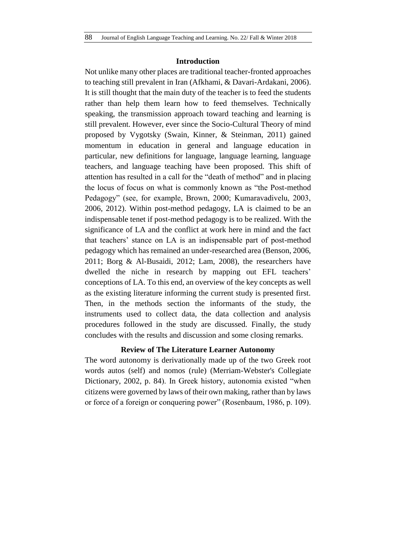## **Introduction**

Not unlike many other places are traditional teacher-fronted approaches to teaching still prevalent in Iran (Afkhami, & Davari-Ardakani, 2006). It is still thought that the main duty of the teacher is to feed the students rather than help them learn how to feed themselves. Technically speaking, the transmission approach toward teaching and learning is still prevalent. However, ever since the Socio-Cultural Theory of mind proposed by Vygotsky (Swain, Kinner, & Steinman, 2011) gained momentum in education in general and language education in particular, new definitions for language, language learning, language teachers, and language teaching have been proposed. This shift of attention has resulted in a call for the "death of method" and in placing the locus of focus on what is commonly known as "the Post-method Pedagogy" (see, for example, Brown, 2000; Kumaravadivelu, 2003, 2006, 2012). Within post-method pedagogy, LA is claimed to be an indispensable tenet if post-method pedagogy is to be realized. With the significance of LA and the conflict at work here in mind and the fact that teachers' stance on LA is an indispensable part of post-method pedagogy which has remained an under-researched area (Benson, 2006, 2011; Borg & Al-Busaidi, 2012; Lam, 2008), the researchers have dwelled the niche in research by mapping out EFL teachers' conceptions of LA. To this end, an overview of the key concepts as well as the existing literature informing the current study is presented first. Then, in the methods section the informants of the study, the instruments used to collect data, the data collection and analysis procedures followed in the study are discussed. Finally, the study concludes with the results and discussion and some closing remarks.

## **Review of The Literature Learner Autonomy**

The word autonomy is derivationally made up of the two Greek root words autos (self) and nomos (rule) (Merriam-Webster's Collegiate Dictionary, 2002, p. 84). In Greek history, autonomia existed "when citizens were governed by laws of their own making, rather than by laws or force of a foreign or conquering power" (Rosenbaum, 1986, p. 109).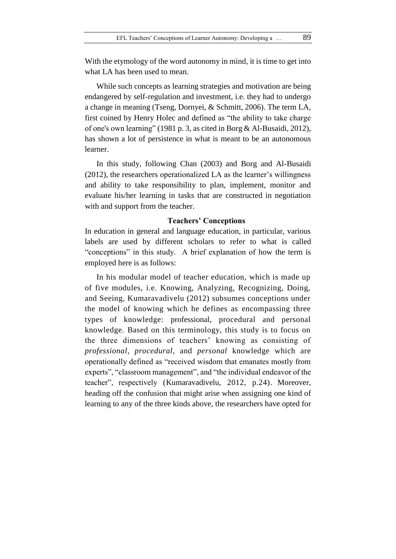With the etymology of the word autonomy in mind, it is time to get into what LA has been used to mean.

While such concepts as learning strategies and motivation are being endangered by self-regulation and investment, i.e. they had to undergo a change in meaning (Tseng, Dornyei, & Schmitt, 2006). The term LA, first coined by Henry Holec and defined as "the ability to take charge of one's own learning" (1981 p. 3, as cited in Borg & Al-Busaidi, 2012), has shown a lot of persistence in what is meant to be an autonomous learner.

In this study, following Chan (2003) and Borg and Al-Busaidi (2012), the researchers operationalized LA as the learner's willingness and ability to take responsibility to plan, implement, monitor and evaluate his/her learning in tasks that are constructed in negotiation with and support from the teacher.

## **Teachers' Conceptions**

In education in general and language education, in particular, various labels are used by different scholars to refer to what is called "conceptions" in this study. A brief explanation of how the term is employed here is as follows:

In his modular model of teacher education, which is made up of five modules, i.e. Knowing, Analyzing, Recognizing, Doing, and Seeing, Kumaravadivelu (2012) subsumes conceptions under the model of knowing which he defines as encompassing three types of knowledge: professional, procedural and personal knowledge. Based on this terminology, this study is to focus on the three dimensions of teachers' knowing as consisting of *professional*, *procedural*, and *personal* knowledge which are operationally defined as "received wisdom that emanates mostly from experts", "classroom management", and "the individual endeavor of the teacher", respectively (Kumaravadivelu, 2012, p.24). Moreover, heading off the confusion that might arise when assigning one kind of learning to any of the three kinds above, the researchers have opted for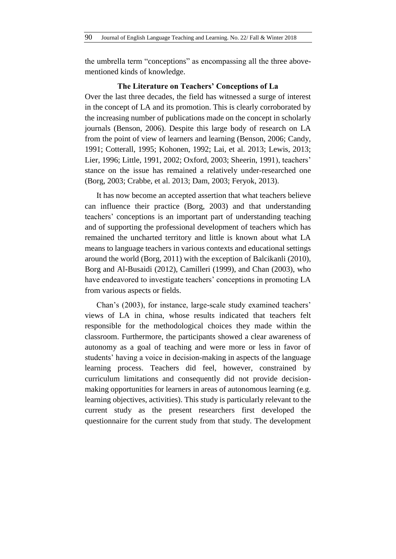the umbrella term "conceptions" as encompassing all the three abovementioned kinds of knowledge.

# **The Literature on Teachers' Conceptions of La**

Over the last three decades, the field has witnessed a surge of interest in the concept of LA and its promotion. This is clearly corroborated by the increasing number of publications made on the concept in scholarly journals (Benson, 2006). Despite this large body of research on LA from the point of view of learners and learning (Benson, 2006; Candy, 1991; Cotterall, 1995; Kohonen, 1992; Lai, et al. 2013; Lewis, 2013; Lier, 1996; Little, 1991, 2002; Oxford, 2003; Sheerin, 1991), teachers' stance on the issue has remained a relatively under-researched one (Borg, 2003; Crabbe, et al. 2013; Dam, 2003; Feryok, 2013).

It has now become an accepted assertion that what teachers believe can influence their practice (Borg, 2003) and that understanding teachers' conceptions is an important part of understanding teaching and of supporting the professional development of teachers which has remained the uncharted territory and little is known about what LA means to language teachers in various contexts and educational settings around the world (Borg, 2011) with the exception of Balcikanli (2010), Borg and Al-Busaidi (2012), Camilleri (1999), and Chan (2003), who have endeavored to investigate teachers' conceptions in promoting LA from various aspects or fields.

Chan's (2003), for instance, large-scale study examined teachers' views of LA in china, whose results indicated that teachers felt responsible for the methodological choices they made within the classroom. Furthermore, the participants showed a clear awareness of autonomy as a goal of teaching and were more or less in favor of students' having a voice in decision-making in aspects of the language learning process. Teachers did feel, however, constrained by curriculum limitations and consequently did not provide decisionmaking opportunities for learners in areas of autonomous learning (e.g. learning objectives, activities). This study is particularly relevant to the current study as the present researchers first developed the questionnaire for the current study from that study. The development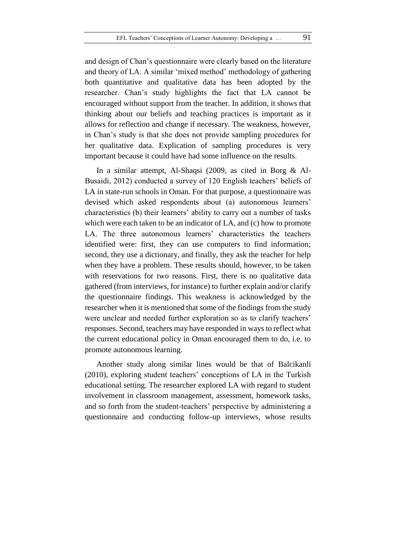and design of Chan's questionnaire were clearly based on the literature and theory of LA. A similar 'mixed method' methodology of gathering both quantitative and qualitative data has been adopted by the researcher. Chan's study highlights the fact that LA cannot be encouraged without support from the teacher. In addition, it shows that thinking about our beliefs and teaching practices is important as it allows for reflection and change if necessary. The weakness, however, in Chan's study is that she does not provide sampling procedures for her qualitative data. Explication of sampling procedures is very important because it could have had some influence on the results.

In a similar attempt, Al-Shaqsi (2009, as cited in Borg & Al-Busaidi, 2012) conducted a survey of 120 English teachers' beliefs of LA in state-run schools in Oman. For that purpose, a questionnaire was devised which asked respondents about (a) autonomous learners' characteristics (b) their learners' ability to carry out a number of tasks which were each taken to be an indicator of LA, and (c) how to promote LA. The three autonomous learners' characteristics the teachers identified were: first, they can use computers to find information; second, they use a dictionary, and finally, they ask the teacher for help when they have a problem. These results should, however, to be taken with reservations for two reasons. First, there is no qualitative data gathered (from interviews, for instance) to further explain and/or clarify the questionnaire findings. This weakness is acknowledged by the researcher when it is mentioned that some of the findings from the study were unclear and needed further exploration so as to clarify teachers' responses. Second, teachers may have responded in ways to reflect what the current educational policy in Oman encouraged them to do, i.e. to promote autonomous learning.

Another study along similar lines would be that of Balcikanli (2010), exploring student teachers' conceptions of LA in the Turkish educational setting. The researcher explored LA with regard to student involvement in classroom management, assessment, homework tasks, and so forth from the student-teachers' perspective by administering a questionnaire and conducting follow-up interviews, whose results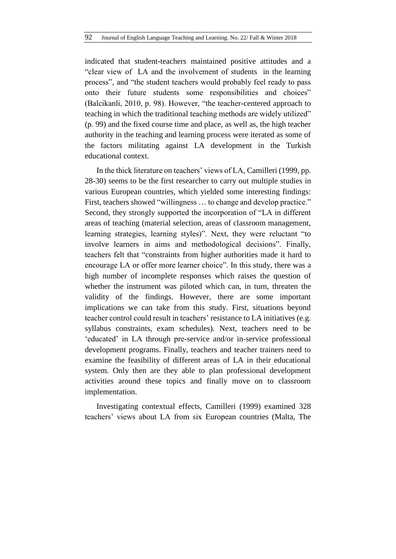indicated that student-teachers maintained positive attitudes and a "clear view of LA and the involvement of students in the learning process", and "the student teachers would probably feel ready to pass onto their future students some responsibilities and choices" (Balcikanli, 2010, p. 98). However, "the teacher-centered approach to teaching in which the traditional teaching methods are widely utilized" (p. 99) and the fixed course time and place, as well as, the high teacher authority in the teaching and learning process were iterated as some of the factors militating against LA development in the Turkish educational context.

In the thick literature on teachers' views of LA, Camilleri (1999, pp. 28-30) seems to be the first researcher to carry out multiple studies in various European countries, which yielded some interesting findings: First, teachers showed "willingness … to change and develop practice." Second, they strongly supported the incorporation of "LA in different areas of teaching (material selection, areas of classroom management, learning strategies, learning styles)". Next, they were reluctant "to involve learners in aims and methodological decisions". Finally, teachers felt that "constraints from higher authorities made it hard to encourage LA or offer more learner choice". In this study, there was a high number of incomplete responses which raises the question of whether the instrument was piloted which can, in turn, threaten the validity of the findings. However, there are some important implications we can take from this study. First, situations beyond teacher control could result in teachers' resistance to LA initiatives (e.g. syllabus constraints, exam schedules). Next, teachers need to be 'educated' in LA through pre-service and/or in-service professional development programs. Finally, teachers and teacher trainers need to examine the feasibility of different areas of LA in their educational system. Only then are they able to plan professional development activities around these topics and finally move on to classroom implementation.

Investigating contextual effects, Camilleri (1999) examined 328 teachers' views about LA from six European countries (Malta, The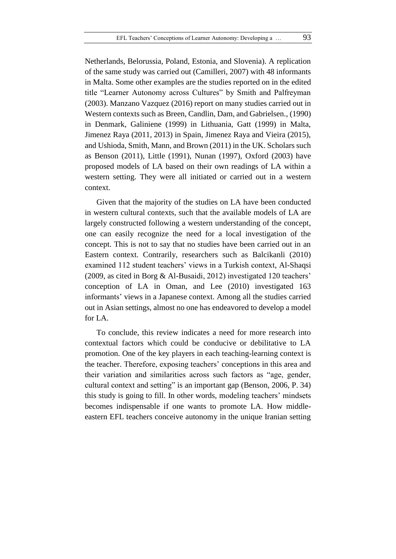Netherlands, Belorussia, Poland, Estonia, and Slovenia). A replication of the same study was carried out (Camilleri, 2007) with 48 informants in Malta. Some other examples are the studies reported on in the edited title "Learner Autonomy across Cultures" by Smith and Palfreyman (2003). Manzano Vazquez (2016) report on many studies carried out in Western contexts such as Breen, Candlin, Dam, and Gabrielsen., (1990) in Denmark, Galiniene (1999) in Lithuania, Gatt (1999) in Malta, Jimenez Raya (2011, 2013) in Spain, Jimenez Raya and Vieira (2015), and Ushioda, Smith, Mann, and Brown (2011) in the UK. Scholars such as Benson (2011), Little (1991), Nunan (1997), Oxford (2003) have proposed models of LA based on their own readings of LA within a western setting. They were all initiated or carried out in a western context.

Given that the majority of the studies on LA have been conducted in western cultural contexts, such that the available models of LA are largely constructed following a western understanding of the concept, one can easily recognize the need for a local investigation of the concept. This is not to say that no studies have been carried out in an Eastern context. Contrarily, researchers such as Balcikanli (2010) examined 112 student teachers' views in a Turkish context, Al-Shaqsi (2009, as cited in Borg & Al-Busaidi, 2012) investigated 120 teachers' conception of LA in Oman, and Lee (2010) investigated 163 informants' views in a Japanese context. Among all the studies carried out in Asian settings, almost no one has endeavored to develop a model for LA.

To conclude, this review indicates a need for more research into contextual factors which could be conducive or debilitative to LA promotion. One of the key players in each teaching-learning context is the teacher. Therefore, exposing teachers' conceptions in this area and their variation and similarities across such factors as "age, gender, cultural context and setting" is an important gap (Benson, 2006, P. 34) this study is going to fill. In other words, modeling teachers' mindsets becomes indispensable if one wants to promote LA. How middleeastern EFL teachers conceive autonomy in the unique Iranian setting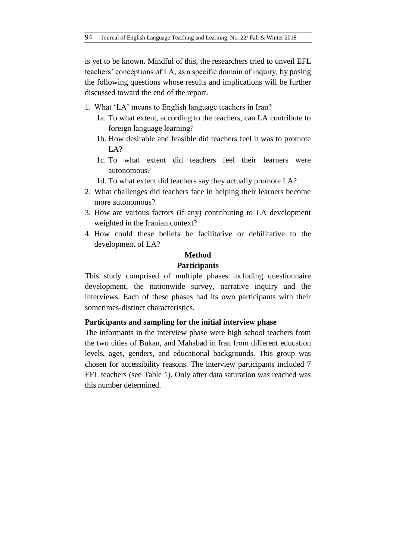is yet to be known. Mindful of this, the researchers tried to unveil EFL teachers' conceptions of LA, as a specific domain of inquiry, by posing the following questions whose results and implications will be further discussed toward the end of the report.

- 1. What 'LA' means to English language teachers in Iran?
	- 1a. To what extent, according to the teachers, can LA contribute to foreign language learning?
	- 1b. How desirable and feasible did teachers feel it was to promote LA?
	- 1c. To what extent did teachers feel their learners were autonomous?
	- 1d. To what extent did teachers say they actually promote LA?
- 2. What challenges did teachers face in helping their learners become more autonomous?
- 3. How are various factors (if any) contributing to LA development weighted in the Iranian context?
- 4. How could these beliefs be facilitative or debilitative to the development of LA?

### **Method**

### **Participants**

This study comprised of multiple phases including questionnaire development, the nationwide survey, narrative inquiry and the interviews. Each of these phases had its own participants with their sometimes-distinct characteristics.

### **Participants and sampling for the initial interview phase**

The informants in the interview phase were high school teachers from the two cities of Bukan, and Mahabad in Iran from different education levels, ages, genders, and educational backgrounds. This group was chosen for accessibility reasons. The interview participants included 7 EFL teachers (see Table 1). Only after data saturation was reached was this number determined.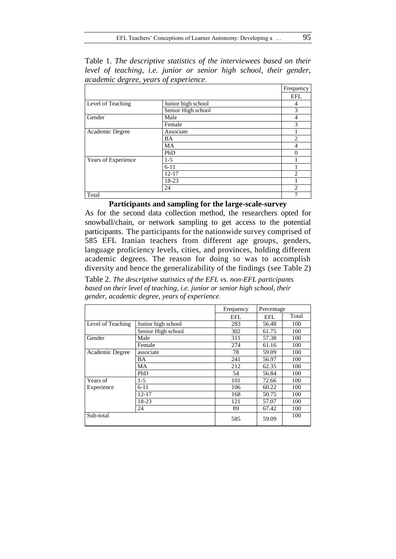Table 1. *The descriptive statistics of the interviewees based on their level of teaching, i.e. junior or senior high school, their gender, academic degree, years of experience.*

|                     |                    | Frequency                                                                                                                                                                                                                                                                                                                                                                                                   |
|---------------------|--------------------|-------------------------------------------------------------------------------------------------------------------------------------------------------------------------------------------------------------------------------------------------------------------------------------------------------------------------------------------------------------------------------------------------------------|
|                     |                    | <b>EFL</b>                                                                                                                                                                                                                                                                                                                                                                                                  |
| Level of Teaching   | Junior high school | 4                                                                                                                                                                                                                                                                                                                                                                                                           |
|                     | Senior High school | 3                                                                                                                                                                                                                                                                                                                                                                                                           |
| Gender              | Male               | 4                                                                                                                                                                                                                                                                                                                                                                                                           |
|                     | Female             | 3                                                                                                                                                                                                                                                                                                                                                                                                           |
| Academic Degree     | Associate          |                                                                                                                                                                                                                                                                                                                                                                                                             |
|                     | BA                 | $\overline{c}$                                                                                                                                                                                                                                                                                                                                                                                              |
|                     | MA                 | 4                                                                                                                                                                                                                                                                                                                                                                                                           |
|                     | PhD                | 0                                                                                                                                                                                                                                                                                                                                                                                                           |
| Years of Experience | $1-5$              |                                                                                                                                                                                                                                                                                                                                                                                                             |
|                     | $6 - 11$           |                                                                                                                                                                                                                                                                                                                                                                                                             |
|                     | $12 - 17$          | $\mathfrak{D}_{1}^{(1)} = \mathfrak{D}_{2}^{(1)} = \mathfrak{D}_{2}^{(1)} = \mathfrak{D}_{2}^{(1)} = \mathfrak{D}_{2}^{(1)} = \mathfrak{D}_{2}^{(1)} = \mathfrak{D}_{2}^{(1)} = \mathfrak{D}_{2}^{(1)} = \mathfrak{D}_{2}^{(1)} = \mathfrak{D}_{2}^{(1)} = \mathfrak{D}_{2}^{(1)} = \mathfrak{D}_{2}^{(1)} = \mathfrak{D}_{2}^{(1)} = \mathfrak{D}_{2}^{(1)} = \mathfrak{D}_{2}^{(1)} = \mathfrak{D}_{2}^{$ |
|                     | 18-23              |                                                                                                                                                                                                                                                                                                                                                                                                             |
|                     | 24                 | $\overline{c}$                                                                                                                                                                                                                                                                                                                                                                                              |
| Total               |                    | 7                                                                                                                                                                                                                                                                                                                                                                                                           |

# **Participants and sampling for the large-scale-survey**

As for the second data collection method, the researchers opted for snowball/chain, or network sampling to get access to the potential participants. The participants for the nationwide survey comprised of 585 EFL Iranian teachers from different age groups, genders, language proficiency levels, cities, and provinces, holding different academic degrees. The reason for doing so was to accomplish diversity and hence the generalizability of the findings (see Table 2)

Table 2. *The descriptive statistics of the EFL vs. non-EFL participants based on their level of teaching, i.e. junior or senior high school, their gender, academic degree, years of experience.*

|                   |                    | Frequency<br>Percentage |       |       |
|-------------------|--------------------|-------------------------|-------|-------|
|                   |                    | EFL                     | EFL   | Total |
| Level of Teaching | Junior high school | 283                     | 56.48 | 100   |
|                   | Senior High school | 302                     | 61.75 | 100   |
| Gender            | Male               | 311                     | 57.38 | 100   |
|                   | Female             | 274                     | 61.16 | 100   |
| Academic Degree   | associate          | 78                      | 59.09 | 100   |
|                   | BA                 | 241                     | 56.97 | 100   |
|                   | MA                 | 212                     | 62.35 | 100   |
|                   | PhD                | 54                      | 56.84 | 100   |
| Years of          | $1-5$              | 101                     | 72.66 | 100   |
| Experience        | $6 - 11$           | 106                     | 60.22 | 100   |
|                   | $12 - 17$          | 168                     | 50.75 | 100   |
|                   | 18-23              | 121                     | 57.07 | 100   |
|                   | 24                 | 89                      | 67.42 | 100   |
| Sub-total         |                    | 585                     | 59.09 | 100   |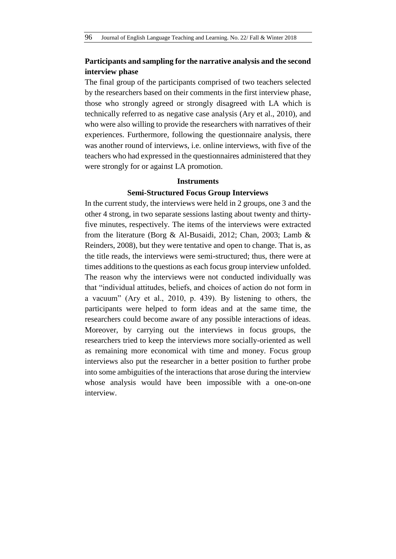# **Participants and sampling for the narrative analysis and the second interview phase**

The final group of the participants comprised of two teachers selected by the researchers based on their comments in the first interview phase, those who strongly agreed or strongly disagreed with LA which is technically referred to as negative case analysis (Ary et al., 2010), and who were also willing to provide the researchers with narratives of their experiences. Furthermore, following the questionnaire analysis, there was another round of interviews, i.e. online interviews, with five of the teachers who had expressed in the questionnaires administered that they were strongly for or against LA promotion.

### **Instruments**

### **Semi-Structured Focus Group Interviews**

In the current study, the interviews were held in 2 groups, one 3 and the other 4 strong, in two separate sessions lasting about twenty and thirtyfive minutes, respectively. The items of the interviews were extracted from the literature (Borg & Al-Busaidi, 2012; Chan, 2003; Lamb & Reinders, 2008), but they were tentative and open to change. That is, as the title reads, the interviews were semi-structured; thus, there were at times additions to the questions as each focus group interview unfolded. The reason why the interviews were not conducted individually was that "individual attitudes, beliefs, and choices of action do not form in a vacuum" (Ary et al., 2010, p. 439). By listening to others, the participants were helped to form ideas and at the same time, the researchers could become aware of any possible interactions of ideas. Moreover, by carrying out the interviews in focus groups, the researchers tried to keep the interviews more socially-oriented as well as remaining more economical with time and money. Focus group interviews also put the researcher in a better position to further probe into some ambiguities of the interactions that arose during the interview whose analysis would have been impossible with a one-on-one interview.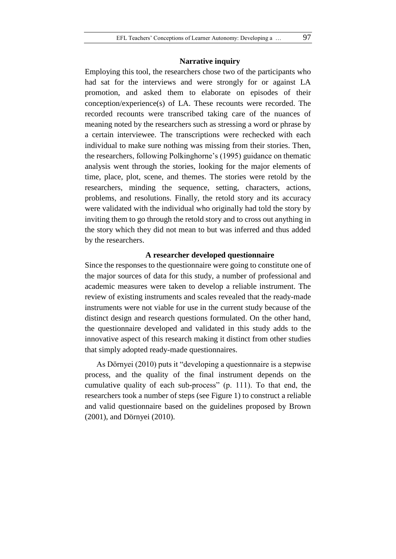### **Narrative inquiry**

Employing this tool, the researchers chose two of the participants who had sat for the interviews and were strongly for or against LA promotion, and asked them to elaborate on episodes of their conception/experience(s) of LA. These recounts were recorded. The recorded recounts were transcribed taking care of the nuances of meaning noted by the researchers such as stressing a word or phrase by a certain interviewee. The transcriptions were rechecked with each individual to make sure nothing was missing from their stories. Then, the researchers, following Polkinghorne's (1995) guidance on thematic analysis went through the stories, looking for the major elements of time, place, plot, scene, and themes. The stories were retold by the researchers, minding the sequence, setting, characters, actions, problems, and resolutions. Finally, the retold story and its accuracy were validated with the individual who originally had told the story by inviting them to go through the retold story and to cross out anything in the story which they did not mean to but was inferred and thus added by the researchers.

## **A researcher developed questionnaire**

Since the responses to the questionnaire were going to constitute one of the major sources of data for this study, a number of professional and academic measures were taken to develop a reliable instrument. The review of existing instruments and scales revealed that the ready-made instruments were not viable for use in the current study because of the distinct design and research questions formulated. On the other hand, the questionnaire developed and validated in this study adds to the innovative aspect of this research making it distinct from other studies that simply adopted ready-made questionnaires.

As Dörnyei (2010) puts it "developing a questionnaire is a stepwise process, and the quality of the final instrument depends on the cumulative quality of each sub-process" (p. 111). To that end, the researchers took a number of steps (see Figure 1) to construct a reliable and valid questionnaire based on the guidelines proposed by Brown (2001), and Dörnyei (2010).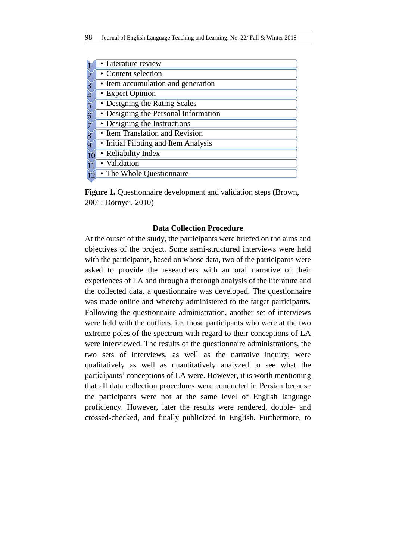| • Literature review                  |
|--------------------------------------|
| • Content selection                  |
| • Item accumulation and generation   |
| • Expert Opinion                     |
| • Designing the Rating Scales        |
| • Designing the Personal Information |
| • Designing the Instructions         |
| • Item Translation and Revision      |
| • Initial Piloting and Item Analysis |
| • Reliability Index                  |
| • Validation                         |
| • The Whole Questionnaire            |
|                                      |

**Figure 1.** Questionnaire development and validation steps (Brown, 2001; Dörnyei, 2010)

## **Data Collection Procedure**

At the outset of the study, the participants were briefed on the aims and objectives of the project. Some semi-structured interviews were held with the participants, based on whose data, two of the participants were asked to provide the researchers with an oral narrative of their experiences of LA and through a thorough analysis of the literature and the collected data, a questionnaire was developed. The questionnaire was made online and whereby administered to the target participants. Following the questionnaire administration, another set of interviews were held with the outliers, i.e. those participants who were at the two extreme poles of the spectrum with regard to their conceptions of LA were interviewed. The results of the questionnaire administrations, the two sets of interviews, as well as the narrative inquiry, were qualitatively as well as quantitatively analyzed to see what the participants' conceptions of LA were. However, it is worth mentioning that all data collection procedures were conducted in Persian because the participants were not at the same level of English language proficiency. However, later the results were rendered, double- and crossed-checked, and finally publicized in English. Furthermore, to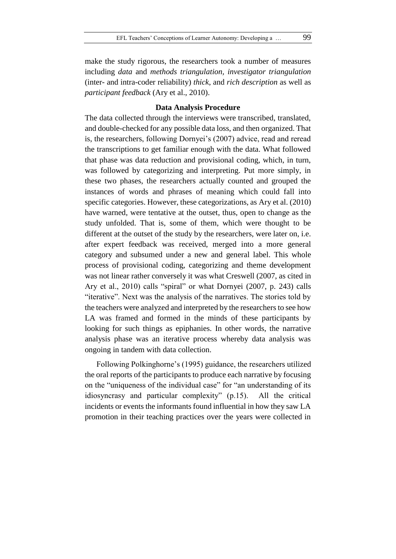make the study rigorous, the researchers took a number of measures including *data* and *methods triangulation, investigator triangulation* (inter- and intra-coder reliability) *thick*, and *rich description* as well as *participant feedback* (Ary et al., 2010).

## **Data Analysis Procedure**

The data collected through the interviews were transcribed, translated, and double-checked for any possible data loss, and then organized. That is, the researchers, following Dornyei's (2007) advice, read and reread the transcriptions to get familiar enough with the data. What followed that phase was data reduction and provisional coding, which, in turn, was followed by categorizing and interpreting. Put more simply, in these two phases, the researchers actually counted and grouped the instances of words and phrases of meaning which could fall into specific categories. However, these categorizations, as Ary et al. (2010) have warned, were tentative at the outset, thus, open to change as the study unfolded. That is, some of them, which were thought to be different at the outset of the study by the researchers, were later on, i.e. after expert feedback was received, merged into a more general category and subsumed under a new and general label. This whole process of provisional coding, categorizing and theme development was not linear rather conversely it was what Creswell (2007, as cited in Ary et al., 2010) calls "spiral" or what Dornyei (2007, p. 243) calls "iterative". Next was the analysis of the narratives. The stories told by the teachers were analyzed and interpreted by the researchers to see how LA was framed and formed in the minds of these participants by looking for such things as epiphanies. In other words, the narrative analysis phase was an iterative process whereby data analysis was ongoing in tandem with data collection.

Following Polkinghorne's (1995) guidance, the researchers utilized the oral reports of the participants to produce each narrative by focusing on the "uniqueness of the individual case" for "an understanding of its idiosyncrasy and particular complexity" (p.15). All the critical incidents or events the informants found influential in how they saw LA promotion in their teaching practices over the years were collected in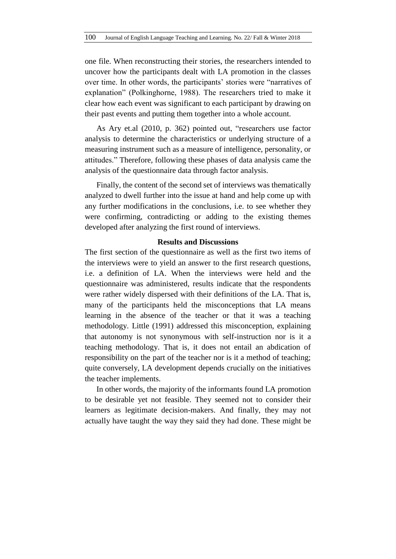one file. When reconstructing their stories, the researchers intended to uncover how the participants dealt with LA promotion in the classes over time. In other words, the participants' stories were "narratives of explanation" (Polkinghorne, 1988). The researchers tried to make it clear how each event was significant to each participant by drawing on their past events and putting them together into a whole account.

As Ary et.al (2010, p. 362) pointed out, "researchers use factor analysis to determine the characteristics or underlying structure of a measuring instrument such as a measure of intelligence, personality, or attitudes." Therefore, following these phases of data analysis came the analysis of the questionnaire data through factor analysis.

Finally, the content of the second set of interviews was thematically analyzed to dwell further into the issue at hand and help come up with any further modifications in the conclusions, i.e. to see whether they were confirming, contradicting or adding to the existing themes developed after analyzing the first round of interviews.

### **Results and Discussions**

The first section of the questionnaire as well as the first two items of the interviews were to yield an answer to the first research questions, i.e. a definition of LA. When the interviews were held and the questionnaire was administered, results indicate that the respondents were rather widely dispersed with their definitions of the LA. That is, many of the participants held the misconceptions that LA means learning in the absence of the teacher or that it was a teaching methodology. Little (1991) addressed this misconception, explaining that autonomy is not synonymous with self-instruction nor is it a teaching methodology. That is, it does not entail an abdication of responsibility on the part of the teacher nor is it a method of teaching; quite conversely, LA development depends crucially on the initiatives the teacher implements.

In other words, the majority of the informants found LA promotion to be desirable yet not feasible. They seemed not to consider their learners as legitimate decision-makers. And finally, they may not actually have taught the way they said they had done. These might be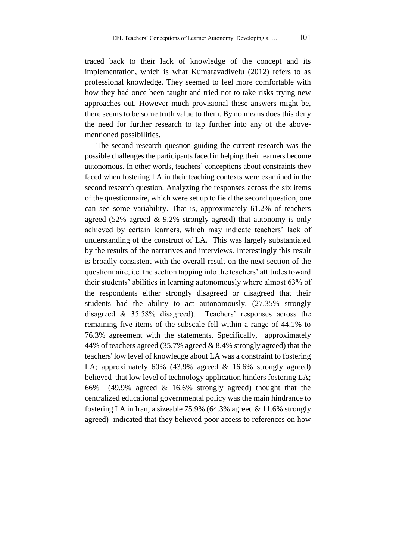traced back to their lack of knowledge of the concept and its implementation, which is what Kumaravadivelu (2012) refers to as professional knowledge. They seemed to feel more comfortable with how they had once been taught and tried not to take risks trying new approaches out. However much provisional these answers might be, there seems to be some truth value to them. By no means does this deny the need for further research to tap further into any of the abovementioned possibilities.

The second research question guiding the current research was the possible challenges the participants faced in helping their learners become autonomous. In other words, teachers' conceptions about constraints they faced when fostering LA in their teaching contexts were examined in the second research question. Analyzing the responses across the six items of the questionnaire, which were set up to field the second question, one can see some variability. That is, approximately 61.2% of teachers agreed (52% agreed & 9.2% strongly agreed) that autonomy is only achieved by certain learners, which may indicate teachers' lack of understanding of the construct of LA. This was largely substantiated by the results of the narratives and interviews. Interestingly this result is broadly consistent with the overall result on the next section of the questionnaire, i.e. the section tapping into the teachers' attitudes toward their students' abilities in learning autonomously where almost 63% of the respondents either strongly disagreed or disagreed that their students had the ability to act autonomously. (27.35% strongly disagreed & 35.58% disagreed). Teachers' responses across the remaining five items of the subscale fell within a range of 44.1% to 76.3% agreement with the statements. Specifically, approximately 44% of teachers agreed (35.7% agreed & 8.4% strongly agreed) that the teachers' low level of knowledge about LA was a constraint to fostering LA; approximately 60% (43.9% agreed & 16.6% strongly agreed) believed that low level of technology application hinders fostering LA; 66% (49.9% agreed & 16.6% strongly agreed) thought that the centralized educational governmental policy was the main hindrance to fostering LA in Iran; a sizeable 75.9% (64.3% agreed & 11.6% strongly agreed) indicated that they believed poor access to references on how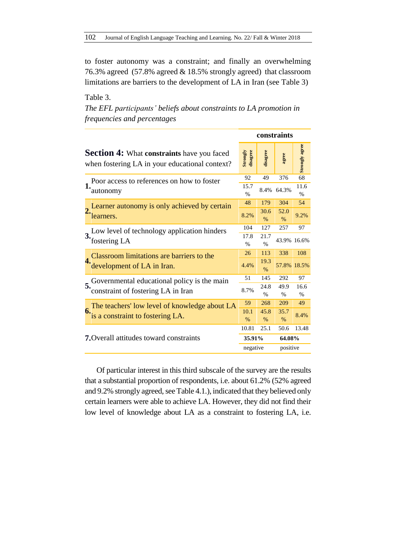to foster autonomy was a constraint; and finally an overwhelming 76.3% agreed (57.8% agreed & 18.5% strongly agreed) that classroom limitations are barriers to the development of LA in Iran (see Table 3)

Table 3. *The EFL participants' beliefs about constraints to LA promotion in frequencies and percentages*

|                                                                                                            |                                                                                   | constraints           |                       |              |                       |
|------------------------------------------------------------------------------------------------------------|-----------------------------------------------------------------------------------|-----------------------|-----------------------|--------------|-----------------------|
| <b>Section 4:</b> What <b>constraints</b> have you faced<br>when fostering LA in your educational context? |                                                                                   | Strongly<br>disagree  | disagree              | agree        | <b>Strongly agree</b> |
| Poor access to references on how to foster                                                                 |                                                                                   | 92                    | 49                    | 376          | 68                    |
| 1.                                                                                                         | autonomy                                                                          | 15.7<br>$\%$          | 8.4%                  | 64.3%        | 11.6<br>$\frac{0}{0}$ |
|                                                                                                            | Learner autonomy is only achieved by certain<br>learners.                         | 48                    | 179                   | 304          | 54                    |
|                                                                                                            |                                                                                   | 8.2%                  | 30.6<br>$\%$          | 52.0<br>$\%$ | 9.2%                  |
|                                                                                                            | Low level of technology application hinders<br>fostering LA                       | 104                   | 127                   | 257          | 97                    |
| 3.                                                                                                         |                                                                                   | 17.8<br>$\frac{0}{0}$ | 21.7<br>$\frac{0}{0}$ |              | 43.9% 16.6%           |
|                                                                                                            | Classroom limitations are barriers to the                                         | 26                    | 113                   | 338          | 108                   |
| 4.                                                                                                         | development of LA in Iran.                                                        | 4.4%                  | 19.3<br>$\%$          |              | 57.8% 18.5%           |
| 5.                                                                                                         | Governmental educational policy is the main<br>constraint of fostering LA in Iran | 51                    | 145                   | 292          | 97                    |
|                                                                                                            |                                                                                   | 8.7%                  | 24.8<br>$\%$          | 49.9<br>$\%$ | 16.6<br>$\%$          |
| 6.                                                                                                         | The teachers' low level of knowledge about LA<br>is a constraint to fostering LA. | 59                    | 268                   | 209          | 49                    |
|                                                                                                            |                                                                                   | 10.1                  | 45.8                  | 35.7         | 8.4%                  |
|                                                                                                            |                                                                                   | $\%$                  | $\%$                  | $\%$         |                       |
| <b>7.</b> Overall attitudes toward constraints                                                             |                                                                                   | 10.81                 | 25.1                  | 50.6         | 13.48                 |
|                                                                                                            |                                                                                   | 35.91%                |                       | 64.08%       |                       |
|                                                                                                            |                                                                                   | negative              |                       | positive     |                       |
|                                                                                                            |                                                                                   |                       |                       |              |                       |

Of particular interest in this third subscale of the survey are the results that a substantial proportion of respondents, i.e. about 61.2% (52% agreed and 9.2% strongly agreed, see Table 4.1.), indicated that they believed only certain learners were able to achieve LA. However, they did not find their low level of knowledge about LA as a constraint to fostering LA, i.e.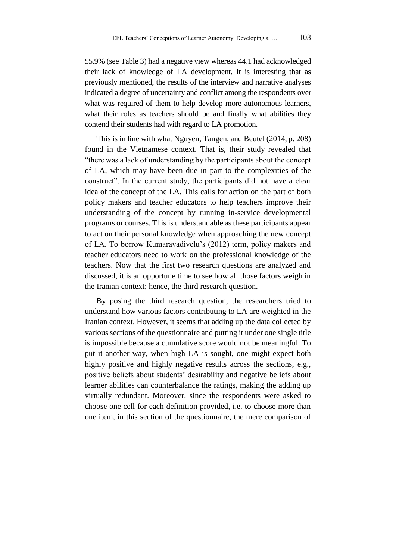55.9% (see Table 3) had a negative view whereas 44.1 had acknowledged their lack of knowledge of LA development. It is interesting that as previously mentioned, the results of the interview and narrative analyses indicated a degree of uncertainty and conflict among the respondents over what was required of them to help develop more autonomous learners, what their roles as teachers should be and finally what abilities they contend their students had with regard to LA promotion.

This is in line with what Nguyen, Tangen, and Beutel (2014, p. 208) found in the Vietnamese context. That is, their study revealed that "there was a lack of understanding by the participants about the concept of LA, which may have been due in part to the complexities of the construct". In the current study, the participants did not have a clear idea of the concept of the LA. This calls for action on the part of both policy makers and teacher educators to help teachers improve their understanding of the concept by running in-service developmental programs or courses. This is understandable as these participants appear to act on their personal knowledge when approaching the new concept of LA. To borrow Kumaravadivelu's (2012) term, policy makers and teacher educators need to work on the professional knowledge of the teachers. Now that the first two research questions are analyzed and discussed, it is an opportune time to see how all those factors weigh in the Iranian context; hence, the third research question.

By posing the third research question, the researchers tried to understand how various factors contributing to LA are weighted in the Iranian context. However, it seems that adding up the data collected by various sections of the questionnaire and putting it under one single title is impossible because a cumulative score would not be meaningful. To put it another way, when high LA is sought, one might expect both highly positive and highly negative results across the sections, e.g., positive beliefs about students' desirability and negative beliefs about learner abilities can counterbalance the ratings, making the adding up virtually redundant. Moreover, since the respondents were asked to choose one cell for each definition provided, i.e. to choose more than one item, in this section of the questionnaire, the mere comparison of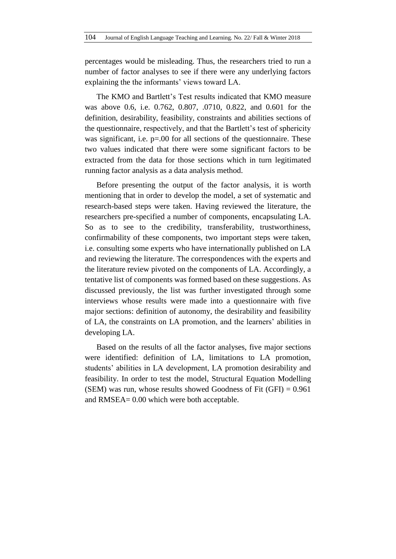percentages would be misleading. Thus, the researchers tried to run a number of factor analyses to see if there were any underlying factors explaining the the informants' views toward LA.

The KMO and Bartlett's Test results indicated that KMO measure was above 0.6, i.e. 0.762, 0.807, .0710, 0.822, and 0.601 for the definition, desirability, feasibility, constraints and abilities sections of the questionnaire, respectively, and that the Bartlett's test of sphericity was significant, i.e.  $p=00$  for all sections of the questionnaire. These two values indicated that there were some significant factors to be extracted from the data for those sections which in turn legitimated running factor analysis as a data analysis method.

Before presenting the output of the factor analysis, it is worth mentioning that in order to develop the model, a set of systematic and research-based steps were taken. Having reviewed the literature, the researchers pre-specified a number of components, encapsulating LA. So as to see to the credibility, transferability, trustworthiness, confirmability of these components, two important steps were taken, i.e. consulting some experts who have internationally published on LA and reviewing the literature. The correspondences with the experts and the literature review pivoted on the components of LA. Accordingly, a tentative list of components was formed based on these suggestions. As discussed previously, the list was further investigated through some interviews whose results were made into a questionnaire with five major sections: definition of autonomy, the desirability and feasibility of LA, the constraints on LA promotion, and the learners' abilities in developing LA.

Based on the results of all the factor analyses, five major sections were identified: definition of LA, limitations to LA promotion, students' abilities in LA development, LA promotion desirability and feasibility. In order to test the model, Structural Equation Modelling (SEM) was run, whose results showed Goodness of Fit  $(GFI) = 0.961$ and RMSEA= 0.00 which were both acceptable.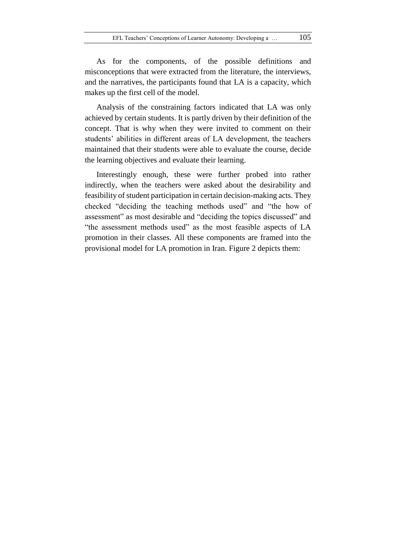As for the components, of the possible definitions and misconceptions that were extracted from the literature, the interviews, and the narratives, the participants found that LA is a capacity, which makes up the first cell of the model.

Analysis of the constraining factors indicated that LA was only achieved by certain students. It is partly driven by their definition of the concept. That is why when they were invited to comment on their students' abilities in different areas of LA development, the teachers maintained that their students were able to evaluate the course, decide the learning objectives and evaluate their learning.

Interestingly enough, these were further probed into rather indirectly, when the teachers were asked about the desirability and feasibility of student participation in certain decision-making acts. They checked "deciding the teaching methods used" and "the how of assessment" as most desirable and "deciding the topics discussed" and "the assessment methods used" as the most feasible aspects of LA promotion in their classes. All these components are framed into the provisional model for LA promotion in Iran. Figure 2 depicts them: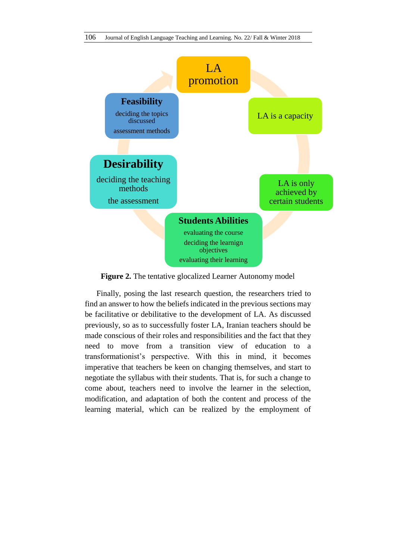

**Figure 2.** The tentative glocalized Learner Autonomy model

Finally, posing the last research question, the researchers tried to find an answer to how the beliefs indicated in the previous sections may be facilitative or debilitative to the development of LA. As discussed previously, so as to successfully foster LA, Iranian teachers should be made conscious of their roles and responsibilities and the fact that they need to move from a transition view of education to a transformationist's perspective. With this in mind, it becomes imperative that teachers be keen on changing themselves, and start to negotiate the syllabus with their students. That is, for such a change to come about, teachers need to involve the learner in the selection, modification, and adaptation of both the content and process of the learning material, which can be realized by the employment of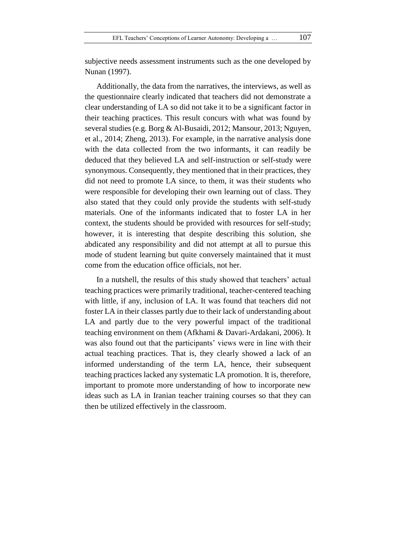subjective needs assessment instruments such as the one developed by Nunan (1997).

Additionally, the data from the narratives, the interviews, as well as the questionnaire clearly indicated that teachers did not demonstrate a clear understanding of LA so did not take it to be a significant factor in their teaching practices. This result concurs with what was found by several studies (e.g. Borg & Al-Busaidi, 2012; Mansour, 2013; Nguyen, et al., 2014; Zheng, 2013). For example, in the narrative analysis done with the data collected from the two informants, it can readily be deduced that they believed LA and self-instruction or self-study were synonymous. Consequently, they mentioned that in their practices, they did not need to promote LA since, to them, it was their students who were responsible for developing their own learning out of class. They also stated that they could only provide the students with self-study materials. One of the informants indicated that to foster LA in her context, the students should be provided with resources for self-study; however, it is interesting that despite describing this solution, she abdicated any responsibility and did not attempt at all to pursue this mode of student learning but quite conversely maintained that it must come from the education office officials, not her.

In a nutshell, the results of this study showed that teachers' actual teaching practices were primarily traditional, teacher-centered teaching with little, if any, inclusion of LA. It was found that teachers did not foster LA in their classes partly due to their lack of understanding about LA and partly due to the very powerful impact of the traditional teaching environment on them (Afkhami & Davari-Ardakani, 2006). It was also found out that the participants' views were in line with their actual teaching practices. That is, they clearly showed a lack of an informed understanding of the term LA, hence, their subsequent teaching practices lacked any systematic LA promotion. It is, therefore, important to promote more understanding of how to incorporate new ideas such as LA in Iranian teacher training courses so that they can then be utilized effectively in the classroom.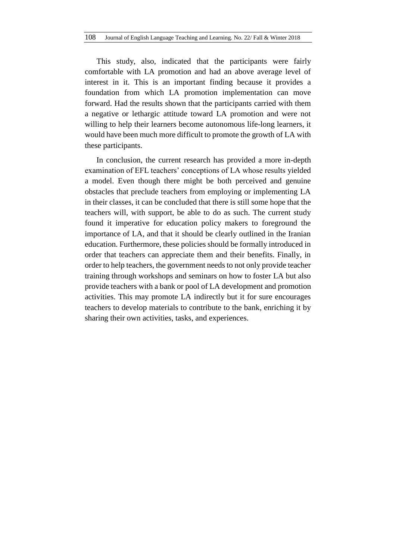This study, also, indicated that the participants were fairly comfortable with LA promotion and had an above average level of interest in it. This is an important finding because it provides a foundation from which LA promotion implementation can move forward. Had the results shown that the participants carried with them a negative or lethargic attitude toward LA promotion and were not willing to help their learners become autonomous life-long learners, it would have been much more difficult to promote the growth of LA with these participants.

In conclusion, the current research has provided a more in-depth examination of EFL teachers' conceptions of LA whose results yielded a model. Even though there might be both perceived and genuine obstacles that preclude teachers from employing or implementing LA in their classes, it can be concluded that there is still some hope that the teachers will, with support, be able to do as such. The current study found it imperative for education policy makers to foreground the importance of LA, and that it should be clearly outlined in the Iranian education. Furthermore, these policies should be formally introduced in order that teachers can appreciate them and their benefits. Finally, in order to help teachers, the government needs to not only provide teacher training through workshops and seminars on how to foster LA but also provide teachers with a bank or pool of LA development and promotion activities. This may promote LA indirectly but it for sure encourages teachers to develop materials to contribute to the bank, enriching it by sharing their own activities, tasks, and experiences.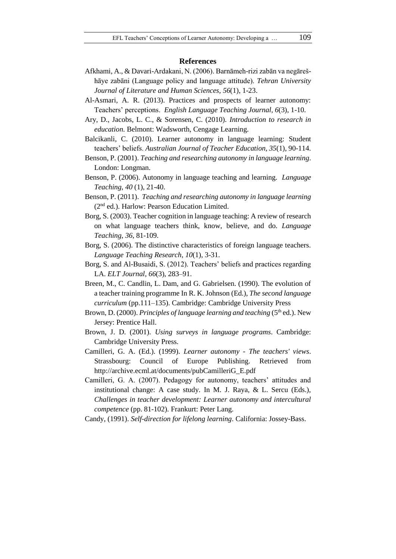#### **References**

- Afkhami, A., & Davari-Ardakani, N. (2006). Barnāmeh-rizi zabān va negārešhāye zabāni (Language policy and language attitude). *Tehran University Journal of Literature and Human Sciences, 56*(1), 1-23.
- Al-Asmari, A. R. (2013). Practices and prospects of learner autonomy: Teachers' perceptions. *English Language Teaching Journal, 6*(3), 1-10.
- Ary, D., Jacobs, L. C., & Sorensen, C. (2010). *Introduction to research in education*. Belmont: Wadsworth, Cengage Learning.
- Balcikanli, C. (2010). Learner autonomy in language learning: Student teachers' beliefs. *Australian Journal of Teacher Education, 35*(1), 90-114.
- Benson, P. (2001). *Teaching and researching autonomy in language learning*. London: Longman.
- Benson, P. (2006). Autonomy in language teaching and learning. *Language Teaching*, *40* (1), 21-40.
- Benson, P. (2011). *Teaching and researching autonomy in language learning*  (2nd ed.). Harlow: Pearson Education Limited.
- Borg, S. (2003). Teacher cognition in language teaching: A review of research on what language teachers think, know, believe, and do. *Language Teaching*, *36*, 81-109.
- Borg, S. (2006). The distinctive characteristics of foreign language teachers. *Language Teaching Research*, *10*(1), 3-31.
- Borg, S. and Al-Busaidi, S. (2012). Teachers' beliefs and practices regarding LA. *ELT Journal*, *66*(3), 283–91.
- Breen, M., C. Candlin, L. Dam, and G. Gabrielsen. (1990). The evolution of a teacher training programme In R. K. Johnson (Ed.), *The second language curriculum* (pp.111–135). Cambridge: Cambridge University Press
- Brown, D. (2000). *Principles of language learning and teaching* (5<sup>th</sup> ed.). New Jersey: Prentice Hall.
- Brown, J. D. (2001). *Using surveys in language programs*. Cambridge: Cambridge University Press.
- Camilleri, G. A. (Ed.). (1999). *Learner autonomy - The teachers' views*. Strassbourg: Council of Europe Publishing. Retrieved from http://archive.ecml.at/documents/pubCamilleriG\_E.pdf
- Camilleri, G. A. (2007). Pedagogy for autonomy, teachers' attitudes and institutional change: A case study. In M. J. Raya, & L. Sercu (Eds.), *Challenges in teacher development: Learner autonomy and intercultural competence* (pp. 81-102). Frankurt: Peter Lang.
- Candy, (1991). *Self-direction for lifelong learning*. California: Jossey-Bass.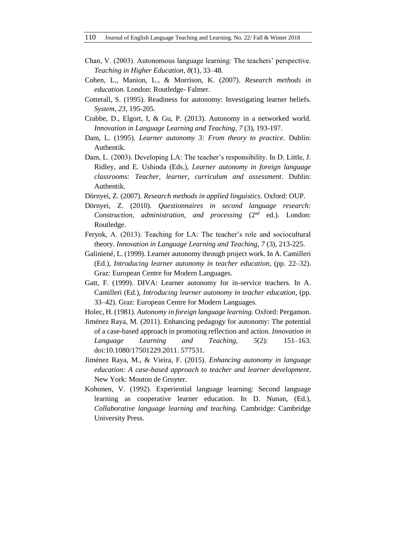- Chan, V. (2003). Autonomous language learning: The teachers' perspective. *Teaching in Higher Education*, *8*(1), 33–48.
- Cohen, L., Manion, L., & Morrison, K. (2007). *Research methods in education.* London: Routledge- Falmer.
- Cotterall, S. (1995). Readiness for autonomy: Investigating learner beliefs. *System*, *23*, 195-205.
- Crabbe, D., Elgort, I, & Gu, P. (2013). Autonomy in a networked world. *Innovation in Language Learning and Teaching*, *7* (3), 193-197.
- Dam, L. (1995). *Learner autonomy 3: From theory to practice*. Dublin: Authentik.
- Dam, L. (2003). Developing LA: The teacher's responsibility. In D. Little, J. Ridley, and E. Ushioda (Eds.), *Learner autonomy in foreign language classrooms: Teacher, learner, curriculum and assessment*. Dublin: Authentik.
- Dörnyei, Z. (2007). *Research methods in applied linguistics*. Oxford: OUP.
- Dörnyei, Z. (2010). *Questionnaires in second language research: Construction, administration, and processing* (2nd ed.). London: Routledge.
- Feryok, A. (2013). Teaching for LA: The teacher's role and sociocultural theory. *Innovation in Language Learning and Teaching*, *7* (3), 213-225.
- Galiniené, L. (1999). Learner autonomy through project work. In A. Camilleri (Ed.), *Introducing learner autonomy in teacher education*, (pp. 22–32). Graz: European Centre for Modern Languages.
- Gatt, F. (1999). DIVA: Learner autonomy for in-service teachers. In A. Camilleri (Ed.), *Introducing learner autonomy in teacher education*, (pp. 33–42). Graz: European Centre for Modern Languages.
- Holec, H. (1981). *Autonomy in foreign language learning*. Oxford: Pergamon.
- Jiménez Raya, M. (2011). Enhancing pedagogy for autonomy: The potential of a case-based approach in promoting reflection and action. *Innovation in Language Learning and Teaching*, *5*(2): 151–163. doi:10.1080/17501229.2011. 577531.
- Jiménez Raya, M., & Vieira, F. (2015). *Enhancing autonomy in language education: A case-based approach to teacher and learner development*. New York: Mouton de Gruyter.
- Kohonen, V. (1992). Experiential language learning: Second language learning as cooperative learner education. In D. Nunan, (Ed.), *Collaborative language learning and teaching.* Cambridge: Cambridge University Press.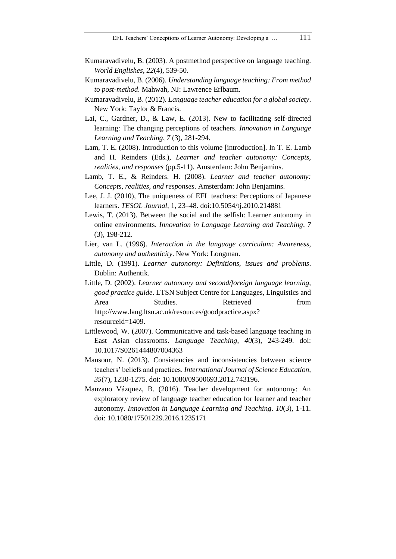- Kumaravadivelu, B. (2003). A postmethod perspective on language teaching. *World Englishes*, *22*(4), 539-50.
- Kumaravadivelu, B. (2006). *Understanding language teaching: From method to post-method*. Mahwah, NJ: Lawrence Erlbaum.
- Kumaravadivelu, B. (2012). *Language teacher education for a global society*. New York: Taylor & Francis.
- Lai, C., Gardner, D., & Law, E. (2013). New to facilitating self-directed learning: The changing perceptions of teachers. *Innovation in Language Learning and Teaching*, *7* (3), 281-294.
- Lam, T. E. (2008). Introduction to this volume [introduction]. In T. E. Lamb and H. Reinders (Eds.), *Learner and teacher autonomy: Concepts, realities, and responses* (pp.5-11). Amsterdam: John Benjamins.
- Lamb, T. E., & Reinders. H. (2008). *Learner and teacher autonomy: Concepts, realities, and responses*. Amsterdam: John Benjamins.
- Lee, J. J. (2010), The uniqueness of EFL teachers: Perceptions of Japanese learners. *TESOL Journal*, 1, 23–48. doi:10.5054/tj.2010.214881
- Lewis, T. (2013). Between the social and the selfish: Learner autonomy in online environments. *Innovation in Language Learning and Teaching*, *7* (3), 198-212.
- Lier, van L. (1996). *Interaction in the language curriculum: Awareness, autonomy and authenticity*. New York: Longman.
- Little, D. (1991). *Learner autonomy: Definitions, issues and problems*. Dublin: Authentik.
- Little, D. (2002). *Learner autonomy and second/foreign language learning, good practice guide*. LTSN Subject Centre for Languages, Linguistics and Area Studies. Retrieved from [http://www.lang.ltsn.ac.uk/r](http://www.lang.ltsn.ac.uk/)esources/goodpractice.aspx? resourceid=1409.
- Littlewood, W. (2007). Communicative and task-based language teaching in East Asian classrooms. *Language Teaching*, *40*(3), 243-249. doi: 10.1017/S0261444807004363
- Mansour, N. (2013). Consistencies and inconsistencies between science teachers' beliefs and practices. *International Journal of Science Education, 35*(7), 1230-1275. doi: 10.1080/09500693.2012.743196.
- Manzano Vázquez, B. (2016). Teacher development for autonomy: An exploratory review of language teacher education for learner and teacher autonomy. *Innovation in Language Learning and Teaching*. *10*(3), 1-11. doi: 10.1080/17501229.2016.1235171